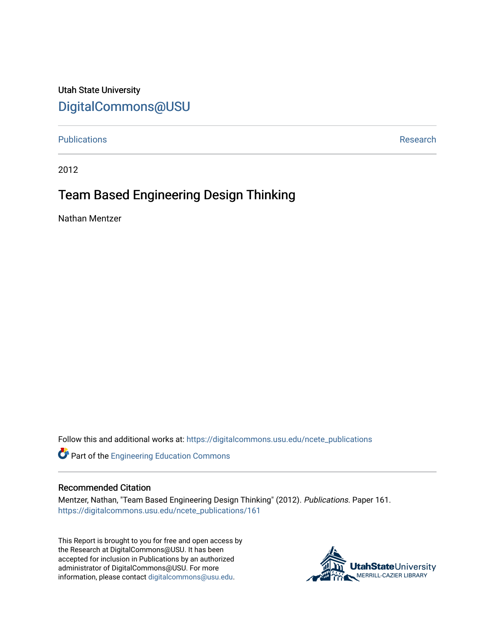# Utah State University [DigitalCommons@USU](https://digitalcommons.usu.edu/)

# [Publications](https://digitalcommons.usu.edu/ncete_publications) **Research Research Research Research Research Research Research**

2012

# Team Based Engineering Design Thinking

Nathan Mentzer

Follow this and additional works at: [https://digitalcommons.usu.edu/ncete\\_publications](https://digitalcommons.usu.edu/ncete_publications?utm_source=digitalcommons.usu.edu%2Fncete_publications%2F161&utm_medium=PDF&utm_campaign=PDFCoverPages) 

Part of the [Engineering Education Commons](http://network.bepress.com/hgg/discipline/1191?utm_source=digitalcommons.usu.edu%2Fncete_publications%2F161&utm_medium=PDF&utm_campaign=PDFCoverPages) 

#### Recommended Citation

Mentzer, Nathan, "Team Based Engineering Design Thinking" (2012). Publications. Paper 161. [https://digitalcommons.usu.edu/ncete\\_publications/161](https://digitalcommons.usu.edu/ncete_publications/161?utm_source=digitalcommons.usu.edu%2Fncete_publications%2F161&utm_medium=PDF&utm_campaign=PDFCoverPages) 

This Report is brought to you for free and open access by the Research at DigitalCommons@USU. It has been accepted for inclusion in Publications by an authorized administrator of DigitalCommons@USU. For more information, please contact [digitalcommons@usu.edu](mailto:digitalcommons@usu.edu).

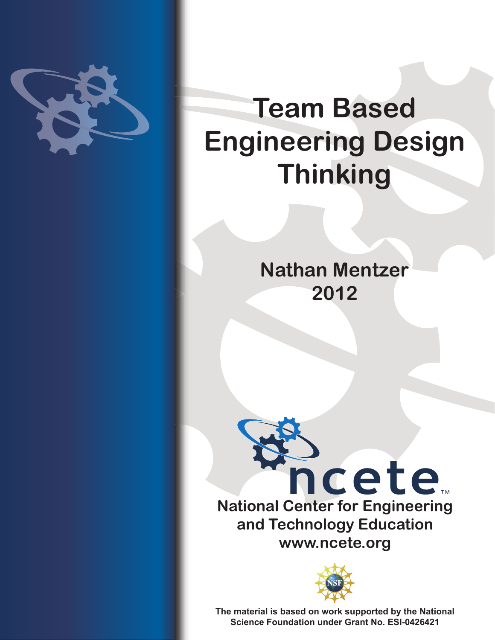

# **Team Based Engineering Design Thinking**

**Nathan Mentzer 2012**





**The material is based on work supported by the National Science Foundation under Grant No. ESI-0426421**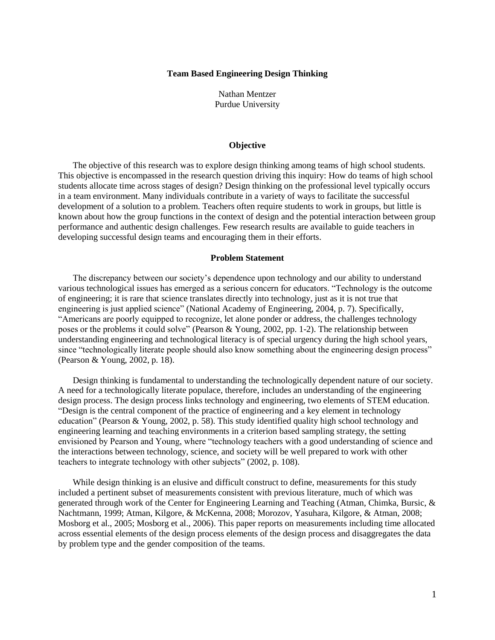#### **Team Based Engineering Design Thinking**

Nathan Mentzer Purdue University

#### **Objective**

The objective of this research was to explore design thinking among teams of high school students. This objective is encompassed in the research question driving this inquiry: How do teams of high school students allocate time across stages of design? Design thinking on the professional level typically occurs in a team environment. Many individuals contribute in a variety of ways to facilitate the successful development of a solution to a problem. Teachers often require students to work in groups, but little is known about how the group functions in the context of design and the potential interaction between group performance and authentic design challenges. Few research results are available to guide teachers in developing successful design teams and encouraging them in their efforts.

#### **Problem Statement**

The discrepancy between our society's dependence upon technology and our ability to understand various technological issues has emerged as a serious concern for educators. "Technology is the outcome of engineering; it is rare that science translates directly into technology, just as it is not true that engineering is just applied science" [\(National Academy of Engineering, 2004, p. 7\)](#page-16-0). Specifically, "Americans are poorly equipped to recognize, let alone ponder or address, the challenges technology poses or the problems it could solve" [\(Pearson & Young, 2002, pp. 1-2\)](#page-16-1). The relationship between understanding engineering and technological literacy is of special urgency during the high school years, since "technologically literate people should also know something about the engineering design process" [\(Pearson & Young, 2002, p. 18\)](#page-16-1).

Design thinking is fundamental to understanding the technologically dependent nature of our society. A need for a technologically literate populace, therefore, includes an understanding of the engineering design process. The design process links technology and engineering, two elements of STEM education. "Design is the central component of the practice of engineering and a key element in technology education" [\(Pearson & Young, 2002, p. 58\)](#page-16-1). This study identified quality high school technology and engineering learning and teaching environments in a criterion based sampling strategy, the setting envisioned by Pearson and Young, where "technology teachers with a good understanding of science and the interactions between technology, science, and society will be well prepared to work with other teachers to integrate technology with other subjects" (2002, [p. 108\)](#page-16-1).

While design thinking is an elusive and difficult construct to define, measurements for this study included a pertinent subset of measurements consistent with previous literature, much of which was generated through work of the Center for Engineering Learning and Teaching [\(Atman, Chimka, Bursic, &](#page-16-2)  [Nachtmann, 1999;](#page-16-2) [Atman, Kilgore, & McKenna, 2008;](#page-16-3) [Morozov, Yasuhara, Kilgore, & Atman, 2008;](#page-16-4) [Mosborg et al., 2005;](#page-16-5) [Mosborg et al., 2006\)](#page-16-6). This paper reports on measurements including time allocated across essential elements of the design process elements of the design process and disaggregates the data by problem type and the gender composition of the teams.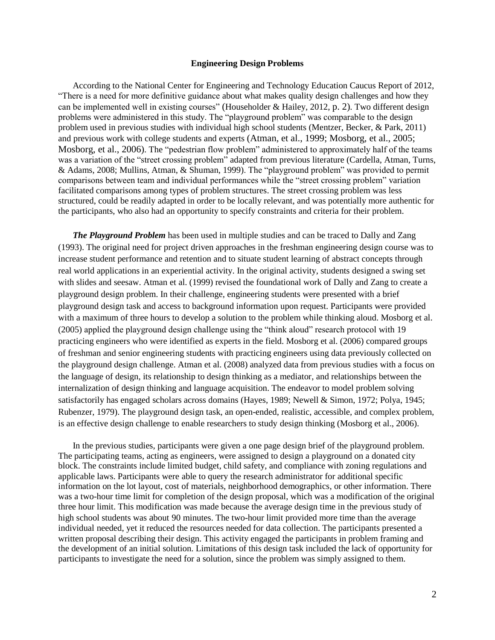#### **Engineering Design Problems**

According to the National Center for Engineering and Technology Education Caucus Report of 2012, "There is a need for more definitive guidance about what makes quality design challenges and how they can be implemented well in existing courses" (Householder & Hailey, 2012, p. 2). Two different design problems were administered in this study. The "playground problem" was comparable to the design problem used in previous studies with individual high school students [\(Mentzer, Becker, & Park, 2011\)](#page-16-7) and previous work with college students and experts [\(Atman, et al., 1999;](#page-16-2) [Mosborg, et al., 2005;](#page-16-5) [Mosborg, et al., 2006\)](#page-16-6). The "pedestrian flow problem" administered to approximately half of the teams was a variation of the "street crossing problem" adapted from previous literature [\(Cardella, Atman, Turns,](#page-16-8)  [& Adams, 2008;](#page-16-8) Mullins, Atman, & Shuman, 1999). The "playground problem" was provided to permit comparisons between team and individual performances while the "street crossing problem" variation facilitated comparisons among types of problem structures. The street crossing problem was less structured, could be readily adapted in order to be locally relevant, and was potentially more authentic for the participants, who also had an opportunity to specify constraints and criteria for their problem.

*The Playground Problem* has been used in multiple studies and can be traced to Dally and Zang [\(1993\)](#page-16-9). The original need for project driven approaches in the freshman engineering design course was to increase student performance and retention and to situate student learning of abstract concepts through real world applications in an experiential activity. In the original activity, students designed a swing set with slides and seesaw. Atman et al. [\(1999\)](#page-16-2) revised the foundational work of Dally and Zang to create a playground design problem. In their challenge, engineering students were presented with a brief playground design task and access to background information upon request. Participants were provided with a maximum of three hours to develop a solution to the problem while thinking aloud. Mosborg et al. [\(2005\)](#page-16-5) applied the playground design challenge using the "think aloud" research protocol with 19 practicing engineers who were identified as experts in the field. Mosborg et al. [\(2006\)](#page-16-6) compared groups of freshman and senior engineering students with practicing engineers using data previously collected on the playground design challenge. Atman et al. [\(2008\)](#page-16-3) analyzed data from previous studies with a focus on the language of design, its relationship to design thinking as a mediator, and relationships between the internalization of design thinking and language acquisition. The endeavor to model problem solving satisfactorily has engaged scholars across domains [\(Hayes, 1989;](#page-16-10) [Newell & Simon, 1972;](#page-16-11) [Polya, 1945;](#page-16-12) [Rubenzer, 1979\)](#page-16-13). The playground design task, an open-ended, realistic, accessible, and complex problem, is an effective design challenge to enable researchers to study design thinking [\(Mosborg et al., 2006\)](#page-16-6).

In the previous studies, participants were given a one page design brief of the playground problem. The participating teams, acting as engineers, were assigned to design a playground on a donated city block. The constraints include limited budget, child safety, and compliance with zoning regulations and applicable laws. Participants were able to query the research administrator for additional specific information on the lot layout, cost of materials, neighborhood demographics, or other information. There was a two-hour time limit for completion of the design proposal, which was a modification of the original three hour limit. This modification was made because the average design time in the previous study of high school students was about 90 minutes. The two-hour limit provided more time than the average individual needed, yet it reduced the resources needed for data collection. The participants presented a written proposal describing their design. This activity engaged the participants in problem framing and the development of an initial solution. Limitations of this design task included the lack of opportunity for participants to investigate the need for a solution, since the problem was simply assigned to them.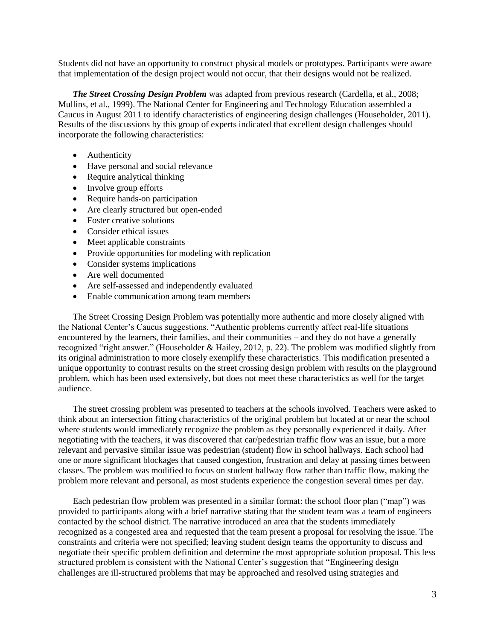Students did not have an opportunity to construct physical models or prototypes. Participants were aware that implementation of the design project would not occur, that their designs would not be realized.

*The Street Crossing Design Problem* was adapted from previous research [\(Cardella, et al., 2008;](#page-16-8) Mullins, et al., 1999). The National Center for Engineering and Technology Education assembled a Caucus in August 2011 to identify characteristics of engineering design challenges [\(Householder, 2011\)](#page-16-14). Results of the discussions by this group of experts indicated that excellent design challenges should incorporate the following characteristics:

- Authenticity
- Have personal and social relevance
- Require analytical thinking
- Involve group efforts
- Require hands-on participation
- Are clearly structured but open-ended
- Foster creative solutions
- Consider ethical issues
- Meet applicable constraints
- Provide opportunities for modeling with replication
- Consider systems implications
- Are well documented
- Are self-assessed and independently evaluated
- Enable communication among team members

The Street Crossing Design Problem was potentially more authentic and more closely aligned with the National Center's Caucus suggestions. "Authentic problems currently affect real-life situations encountered by the learners, their families, and their communities – and they do not have a generally recognized "right answer." (Householder & Hailey, 2012, p. 22). The problem was modified slightly from its original administration to more closely exemplify these characteristics. This modification presented a unique opportunity to contrast results on the street crossing design problem with results on the playground problem, which has been used extensively, but does not meet these characteristics as well for the target audience.

The street crossing problem was presented to teachers at the schools involved. Teachers were asked to think about an intersection fitting characteristics of the original problem but located at or near the school where students would immediately recognize the problem as they personally experienced it daily. After negotiating with the teachers, it was discovered that car/pedestrian traffic flow was an issue, but a more relevant and pervasive similar issue was pedestrian (student) flow in school hallways. Each school had one or more significant blockages that caused congestion, frustration and delay at passing times between classes. The problem was modified to focus on student hallway flow rather than traffic flow, making the problem more relevant and personal, as most students experience the congestion several times per day.

Each pedestrian flow problem was presented in a similar format: the school floor plan ("map") was provided to participants along with a brief narrative stating that the student team was a team of engineers contacted by the school district. The narrative introduced an area that the students immediately recognized as a congested area and requested that the team present a proposal for resolving the issue. The constraints and criteria were not specified; leaving student design teams the opportunity to discuss and negotiate their specific problem definition and determine the most appropriate solution proposal. This less structured problem is consistent with the National Center's suggestion that "Engineering design challenges are ill-structured problems that may be approached and resolved using strategies and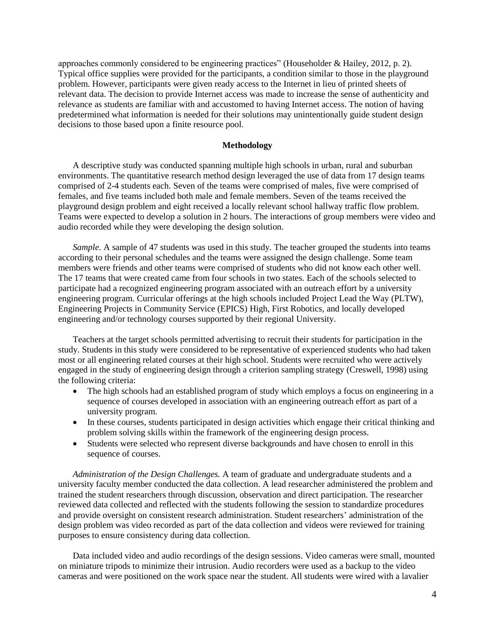approaches commonly considered to be engineering practices" (Householder & Hailey, 2012, p. 2). Typical office supplies were provided for the participants, a condition similar to those in the playground problem. However, participants were given ready access to the Internet in lieu of printed sheets of relevant data. The decision to provide Internet access was made to increase the sense of authenticity and relevance as students are familiar with and accustomed to having Internet access. The notion of having predetermined what information is needed for their solutions may unintentionally guide student design decisions to those based upon a finite resource pool.

#### **Methodology**

A descriptive study was conducted spanning multiple high schools in urban, rural and suburban environments. The quantitative research method design leveraged the use of data from 17 design teams comprised of 2-4 students each. Seven of the teams were comprised of males, five were comprised of females, and five teams included both male and female members. Seven of the teams received the playground design problem and eight received a locally relevant school hallway traffic flow problem. Teams were expected to develop a solution in 2 hours. The interactions of group members were video and audio recorded while they were developing the design solution.

*Sample.* A sample of 47 students was used in this study. The teacher grouped the students into teams according to their personal schedules and the teams were assigned the design challenge. Some team members were friends and other teams were comprised of students who did not know each other well. The 17 teams that were created came from four schools in two states. Each of the schools selected to participate had a recognized engineering program associated with an outreach effort by a university engineering program. Curricular offerings at the high schools included Project Lead the Way (PLTW), Engineering Projects in Community Service (EPICS) High, First Robotics, and locally developed engineering and/or technology courses supported by their regional University.

Teachers at the target schools permitted advertising to recruit their students for participation in the study. Students in this study were considered to be representative of experienced students who had taken most or all engineering related courses at their high school. Students were recruited who were actively engaged in the study of engineering design through a criterion sampling strategy [\(Creswell, 1998\)](#page-16-15) using the following criteria:

- The high schools had an established program of study which employs a focus on engineering in a sequence of courses developed in association with an engineering outreach effort as part of a university program.
- In these courses, students participated in design activities which engage their critical thinking and problem solving skills within the framework of the engineering design process.
- Students were selected who represent diverse backgrounds and have chosen to enroll in this sequence of courses.

*Administration of the Design Challenges.* A team of graduate and undergraduate students and a university faculty member conducted the data collection. A lead researcher administered the problem and trained the student researchers through discussion, observation and direct participation. The researcher reviewed data collected and reflected with the students following the session to standardize procedures and provide oversight on consistent research administration. Student researchers' administration of the design problem was video recorded as part of the data collection and videos were reviewed for training purposes to ensure consistency during data collection.

Data included video and audio recordings of the design sessions. Video cameras were small, mounted on miniature tripods to minimize their intrusion. Audio recorders were used as a backup to the video cameras and were positioned on the work space near the student. All students were wired with a lavalier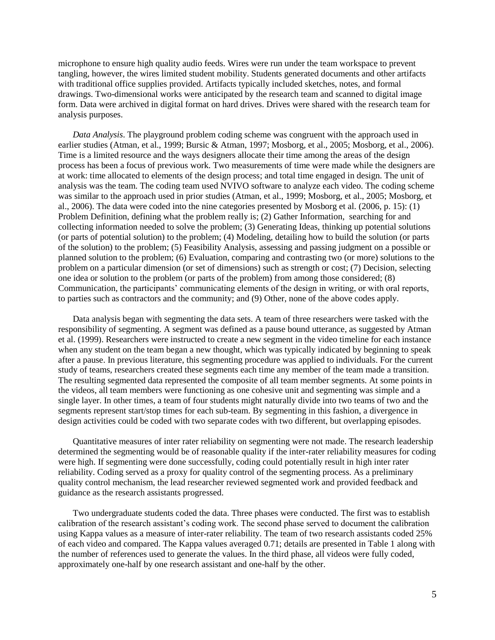microphone to ensure high quality audio feeds. Wires were run under the team workspace to prevent tangling, however, the wires limited student mobility. Students generated documents and other artifacts with traditional office supplies provided. Artifacts typically included sketches, notes, and formal drawings. Two-dimensional works were anticipated by the research team and scanned to digital image form. Data were archived in digital format on hard drives. Drives were shared with the research team for analysis purposes.

*Data Analysis*. The playground problem coding scheme was congruent with the approach used in earlier studies [\(Atman, et al., 1999;](#page-16-2) [Bursic & Atman, 1997;](#page-16-16) [Mosborg, et al., 2005;](#page-16-5) [Mosborg, et al., 2006\)](#page-16-6). Time is a limited resource and the ways designers allocate their time among the areas of the design process has been a focus of previous work. Two measurements of time were made while the designers are at work: time allocated to elements of the design process; and total time engaged in design. The unit of analysis was the team. The coding team used NVIVO software to analyze each video. The coding scheme was similar to the approach used in prior studies [\(Atman, et al., 1999;](#page-16-2) [Mosborg, et al., 2005;](#page-16-5) [Mosborg, et](#page-16-6)  [al., 2006\)](#page-16-6). The data were coded into the nine categories presented by Mosborg et al. [\(2006, p. 15\)](#page-16-6): (1) Problem Definition, defining what the problem really is; (2) Gather Information, searching for and collecting information needed to solve the problem; (3) Generating Ideas, thinking up potential solutions (or parts of potential solution) to the problem; (4) Modeling, detailing how to build the solution (or parts of the solution) to the problem; (5) Feasibility Analysis, assessing and passing judgment on a possible or planned solution to the problem; (6) Evaluation, comparing and contrasting two (or more) solutions to the problem on a particular dimension (or set of dimensions) such as strength or cost; (7) Decision, selecting one idea or solution to the problem (or parts of the problem) from among those considered; (8) Communication, the participants' communicating elements of the design in writing, or with oral reports, to parties such as contractors and the community; and (9) Other, none of the above codes apply.

Data analysis began with segmenting the data sets. A team of three researchers were tasked with the responsibility of segmenting. A segment was defined as a pause bound utterance, as suggested by Atman et al. [\(1999\)](#page-16-2). Researchers were instructed to create a new segment in the video timeline for each instance when any student on the team began a new thought, which was typically indicated by beginning to speak after a pause. In previous literature, this segmenting procedure was applied to individuals. For the current study of teams, researchers created these segments each time any member of the team made a transition. The resulting segmented data represented the composite of all team member segments. At some points in the videos, all team members were functioning as one cohesive unit and segmenting was simple and a single layer. In other times, a team of four students might naturally divide into two teams of two and the segments represent start/stop times for each sub-team. By segmenting in this fashion, a divergence in design activities could be coded with two separate codes with two different, but overlapping episodes.

Quantitative measures of inter rater reliability on segmenting were not made. The research leadership determined the segmenting would be of reasonable quality if the inter-rater reliability measures for coding were high. If segmenting were done successfully, coding could potentially result in high inter rater reliability. Coding served as a proxy for quality control of the segmenting process. As a preliminary quality control mechanism, the lead researcher reviewed segmented work and provided feedback and guidance as the research assistants progressed.

Two undergraduate students coded the data. Three phases were conducted. The first was to establish calibration of the research assistant's coding work. The second phase served to document the calibration using Kappa values as a measure of inter-rater reliability. The team of two research assistants coded 25% of each video and compared. The Kappa values averaged 0.71; details are presented in Table 1 along with the number of references used to generate the values. In the third phase, all videos were fully coded, approximately one-half by one research assistant and one-half by the other.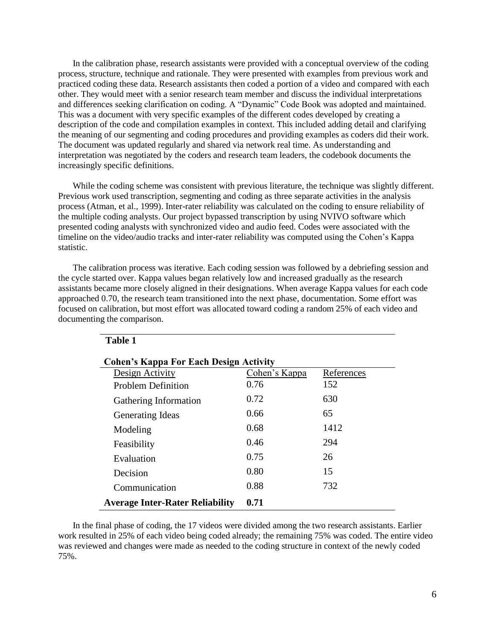In the calibration phase, research assistants were provided with a conceptual overview of the coding process, structure, technique and rationale. They were presented with examples from previous work and practiced coding these data. Research assistants then coded a portion of a video and compared with each other. They would meet with a senior research team member and discuss the individual interpretations and differences seeking clarification on coding. A "Dynamic" Code Book was adopted and maintained. This was a document with very specific examples of the different codes developed by creating a description of the code and compilation examples in context. This included adding detail and clarifying the meaning of our segmenting and coding procedures and providing examples as coders did their work. The document was updated regularly and shared via network real time. As understanding and interpretation was negotiated by the coders and research team leaders, the codebook documents the increasingly specific definitions.

While the coding scheme was consistent with previous literature, the technique was slightly different. Previous work used transcription, segmenting and coding as three separate activities in the analysis process [\(Atman, et al., 1999\)](#page-16-2). Inter-rater reliability was calculated on the coding to ensure reliability of the multiple coding analysts. Our project bypassed transcription by using NVIVO software which presented coding analysts with synchronized video and audio feed. Codes were associated with the timeline on the video/audio tracks and inter-rater reliability was computed using the Cohen's Kappa statistic.

The calibration process was iterative. Each coding session was followed by a debriefing session and the cycle started over. Kappa values began relatively low and increased gradually as the research assistants became more closely aligned in their designations. When average Kappa values for each code approached 0.70, the research team transitioned into the next phase, documentation. Some effort was focused on calibration, but most effort was allocated toward coding a random 25% of each video and documenting the comparison.

| <b>Cohen's Kappa For Each Design Activity</b> |               |            |  |  |  |
|-----------------------------------------------|---------------|------------|--|--|--|
| Design Activity                               | Cohen's Kappa | References |  |  |  |
| <b>Problem Definition</b>                     | 0.76          | 152        |  |  |  |
| Gathering Information                         | 0.72          | 630        |  |  |  |
| <b>Generating Ideas</b>                       | 0.66          | 65         |  |  |  |
| Modeling                                      | 0.68          | 1412       |  |  |  |
| Feasibility                                   | 0.46          | 294        |  |  |  |
| Evaluation                                    | 0.75          | 26         |  |  |  |
| Decision                                      | 0.80          | 15         |  |  |  |
| Communication                                 | 0.88          | 732        |  |  |  |
| <b>Average Inter-Rater Reliability</b>        | 0.71          |            |  |  |  |

**Table 1**

In the final phase of coding, the 17 videos were divided among the two research assistants. Earlier work resulted in 25% of each video being coded already; the remaining 75% was coded. The entire video was reviewed and changes were made as needed to the coding structure in context of the newly coded 75%.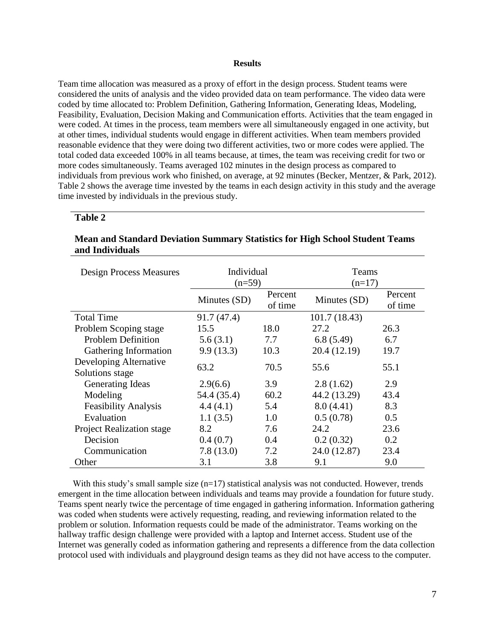#### **Results**

Team time allocation was measured as a proxy of effort in the design process. Student teams were considered the units of analysis and the video provided data on team performance. The video data were coded by time allocated to: Problem Definition, Gathering Information, Generating Ideas, Modeling, Feasibility, Evaluation, Decision Making and Communication efforts. Activities that the team engaged in were coded. At times in the process, team members were all simultaneously engaged in one activity, but at other times, individual students would engage in different activities. When team members provided reasonable evidence that they were doing two different activities, two or more codes were applied. The total coded data exceeded 100% in all teams because, at times, the team was receiving credit for two or more codes simultaneously. Teams averaged 102 minutes in the design process as compared to individuals from previous work who finished, on average, at 92 minutes [\(Becker, Mentzer, & Park, 2012\)](#page-16-17). Table 2 shows the average time invested by the teams in each design activity in this study and the average time invested by individuals in the previous study.

### **Table 2**

# **Mean and Standard Deviation Summary Statistics for High School Student Teams and Individuals**

| <b>Design Process Measures</b>            | Individual<br>$(n=59)$ |                    | Teams<br>$(n=17)$ |                    |  |
|-------------------------------------------|------------------------|--------------------|-------------------|--------------------|--|
|                                           | Minutes (SD)           | Percent<br>of time | Minutes (SD)      | Percent<br>of time |  |
| <b>Total Time</b>                         | 91.7 (47.4)            |                    | 101.7(18.43)      |                    |  |
| Problem Scoping stage                     | 15.5                   | 18.0               | 27.2              | 26.3               |  |
| <b>Problem Definition</b>                 | 5.6(3.1)               | 7.7                | 6.8(5.49)         | 6.7                |  |
| Gathering Information                     | 9.9(13.3)              | 10.3               | 20.4 (12.19)      | 19.7               |  |
| Developing Alternative<br>Solutions stage | 63.2                   | 70.5               | 55.6              | 55.1               |  |
| <b>Generating Ideas</b>                   | 2.9(6.6)               | 3.9                | 2.8(1.62)         | 2.9                |  |
| Modeling                                  | 54.4 (35.4)            | 60.2               | 44.2 (13.29)      | 43.4               |  |
| <b>Feasibility Analysis</b>               | 4.4(4.1)               | 5.4                | 8.0(4.41)         | 8.3                |  |
| Evaluation                                | 1.1(3.5)               | 1.0                | 0.5(0.78)         | 0.5                |  |
| <b>Project Realization stage</b>          | 8.2                    | 7.6                | 24.2              | 23.6               |  |
| Decision                                  | 0.4(0.7)               | 0.4                | 0.2(0.32)         | 0.2                |  |
| Communication                             | 7.8(13.0)              | 7.2                | 24.0 (12.87)      | 23.4               |  |
| Other                                     | 3.1                    | 3.8                | 9.1               | 9.0                |  |

With this study's small sample size  $(n=17)$  statistical analysis was not conducted. However, trends emergent in the time allocation between individuals and teams may provide a foundation for future study. Teams spent nearly twice the percentage of time engaged in gathering information. Information gathering was coded when students were actively requesting, reading, and reviewing information related to the problem or solution. Information requests could be made of the administrator. Teams working on the hallway traffic design challenge were provided with a laptop and Internet access. Student use of the Internet was generally coded as information gathering and represents a difference from the data collection protocol used with individuals and playground design teams as they did not have access to the computer.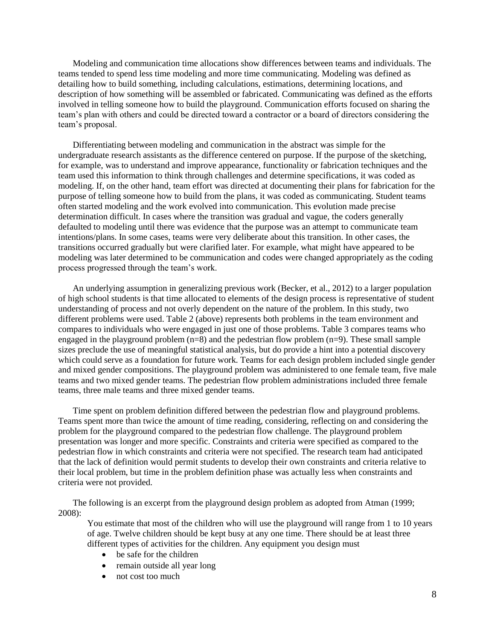Modeling and communication time allocations show differences between teams and individuals. The teams tended to spend less time modeling and more time communicating. Modeling was defined as detailing how to build something, including calculations, estimations, determining locations, and description of how something will be assembled or fabricated. Communicating was defined as the efforts involved in telling someone how to build the playground. Communication efforts focused on sharing the team's plan with others and could be directed toward a contractor or a board of directors considering the team's proposal.

Differentiating between modeling and communication in the abstract was simple for the undergraduate research assistants as the difference centered on purpose. If the purpose of the sketching, for example, was to understand and improve appearance, functionality or fabrication techniques and the team used this information to think through challenges and determine specifications, it was coded as modeling. If, on the other hand, team effort was directed at documenting their plans for fabrication for the purpose of telling someone how to build from the plans, it was coded as communicating. Student teams often started modeling and the work evolved into communication. This evolution made precise determination difficult. In cases where the transition was gradual and vague, the coders generally defaulted to modeling until there was evidence that the purpose was an attempt to communicate team intentions/plans. In some cases, teams were very deliberate about this transition. In other cases, the transitions occurred gradually but were clarified later. For example, what might have appeared to be modeling was later determined to be communication and codes were changed appropriately as the coding process progressed through the team's work.

An underlying assumption in generalizing previous work [\(Becker, et al., 2012\)](#page-16-17) to a larger population of high school students is that time allocated to elements of the design process is representative of student understanding of process and not overly dependent on the nature of the problem. In this study, two different problems were used. Table 2 (above) represents both problems in the team environment and compares to individuals who were engaged in just one of those problems. Table 3 compares teams who engaged in the playground problem  $(n=8)$  and the pedestrian flow problem  $(n=9)$ . These small sample sizes preclude the use of meaningful statistical analysis, but do provide a hint into a potential discovery which could serve as a foundation for future work. Teams for each design problem included single gender and mixed gender compositions. The playground problem was administered to one female team, five male teams and two mixed gender teams. The pedestrian flow problem administrations included three female teams, three male teams and three mixed gender teams.

Time spent on problem definition differed between the pedestrian flow and playground problems. Teams spent more than twice the amount of time reading, considering, reflecting on and considering the problem for the playground compared to the pedestrian flow challenge. The playground problem presentation was longer and more specific. Constraints and criteria were specified as compared to the pedestrian flow in which constraints and criteria were not specified. The research team had anticipated that the lack of definition would permit students to develop their own constraints and criteria relative to their local problem, but time in the problem definition phase was actually less when constraints and criteria were not provided.

The following is an excerpt from the playground design problem as adopted from Atman [\(1999;](#page-16-2) [2008\)](#page-16-3):

You estimate that most of the children who will use the playground will range from 1 to 10 years of age. Twelve children should be kept busy at any one time. There should be at least three different types of activities for the children. Any equipment you design must

- be safe for the children
- remain outside all year long
- not cost too much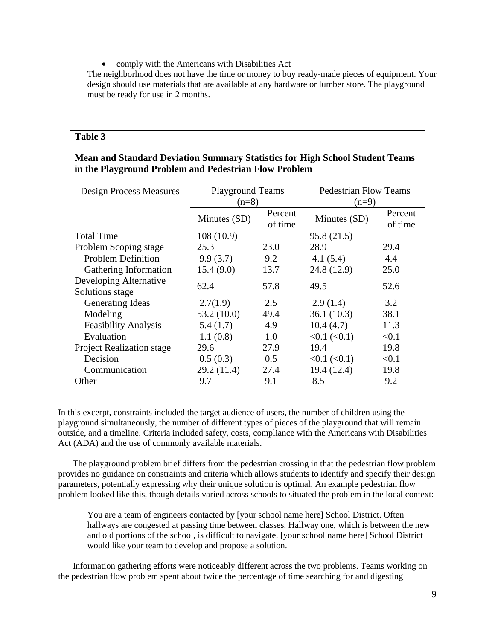• comply with the Americans with Disabilities Act

The neighborhood does not have the time or money to buy ready-made pieces of equipment. Your design should use materials that are available at any hardware or lumber store. The playground must be ready for use in 2 months.

# **Table 3**

| <b>Mean and Standard Deviation Summary Statistics for High School Student Teams</b> |  |
|-------------------------------------------------------------------------------------|--|
| in the Playground Problem and Pedestrian Flow Problem                               |  |

| <b>Design Process Measures</b>            | <b>Playground Teams</b><br>$(n=8)$ |                    | <b>Pedestrian Flow Teams</b><br>$(n=9)$ |                    |  |
|-------------------------------------------|------------------------------------|--------------------|-----------------------------------------|--------------------|--|
|                                           | Minutes (SD)                       | Percent<br>of time | Minutes (SD)                            | Percent<br>of time |  |
| <b>Total Time</b>                         | 108(10.9)                          |                    | 95.8(21.5)                              |                    |  |
| Problem Scoping stage                     | 25.3                               | 23.0               | 28.9                                    | 29.4               |  |
| <b>Problem Definition</b>                 | 9.9(3.7)                           | 9.2                | 4.1(5.4)                                | 4.4                |  |
| Gathering Information                     | 15.4(9.0)                          | 13.7               | 24.8 (12.9)                             | 25.0               |  |
| Developing Alternative<br>Solutions stage | 62.4                               | 57.8               | 49.5                                    | 52.6               |  |
| Generating Ideas                          | 2.7(1.9)                           | 2.5                | 2.9(1.4)                                | 3.2                |  |
| Modeling                                  | 53.2(10.0)                         | 49.4               | 36.1(10.3)                              | 38.1               |  |
| <b>Feasibility Analysis</b>               | 5.4(1.7)                           | 4.9                | 10.4(4.7)                               | 11.3               |  |
| Evaluation                                | 1.1(0.8)                           | 1.0                | <0.1 (< 0.1)                            | < 0.1              |  |
| <b>Project Realization stage</b>          | 29.6                               | 27.9               | 19.4                                    | 19.8               |  |
| Decision                                  | 0.5(0.3)                           | 0.5                | $<0.1$ ( $< 0.1$ )                      | < 0.1              |  |
| Communication                             | 29.2(11.4)                         | 27.4               | 19.4 (12.4)                             | 19.8               |  |
| Other                                     | 9.7                                | 9.1                | 8.5                                     | 9.2                |  |

In this excerpt, constraints included the target audience of users, the number of children using the playground simultaneously, the number of different types of pieces of the playground that will remain outside, and a timeline. Criteria included safety, costs, compliance with the Americans with Disabilities Act (ADA) and the use of commonly available materials.

The playground problem brief differs from the pedestrian crossing in that the pedestrian flow problem provides no guidance on constraints and criteria which allows students to identify and specify their design parameters, potentially expressing why their unique solution is optimal. An example pedestrian flow problem looked like this, though details varied across schools to situated the problem in the local context:

You are a team of engineers contacted by [your school name here] School District. Often hallways are congested at passing time between classes. Hallway one, which is between the new and old portions of the school, is difficult to navigate. [your school name here] School District would like your team to develop and propose a solution.

Information gathering efforts were noticeably different across the two problems. Teams working on the pedestrian flow problem spent about twice the percentage of time searching for and digesting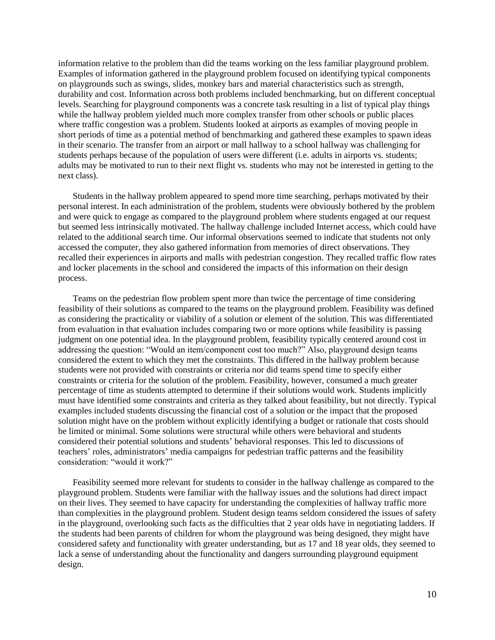information relative to the problem than did the teams working on the less familiar playground problem. Examples of information gathered in the playground problem focused on identifying typical components on playgrounds such as swings, slides, monkey bars and material characteristics such as strength, durability and cost. Information across both problems included benchmarking, but on different conceptual levels. Searching for playground components was a concrete task resulting in a list of typical play things while the hallway problem yielded much more complex transfer from other schools or public places where traffic congestion was a problem. Students looked at airports as examples of moving people in short periods of time as a potential method of benchmarking and gathered these examples to spawn ideas in their scenario. The transfer from an airport or mall hallway to a school hallway was challenging for students perhaps because of the population of users were different (i.e. adults in airports vs. students; adults may be motivated to run to their next flight vs. students who may not be interested in getting to the next class).

Students in the hallway problem appeared to spend more time searching, perhaps motivated by their personal interest. In each administration of the problem, students were obviously bothered by the problem and were quick to engage as compared to the playground problem where students engaged at our request but seemed less intrinsically motivated. The hallway challenge included Internet access, which could have related to the additional search time. Our informal observations seemed to indicate that students not only accessed the computer, they also gathered information from memories of direct observations. They recalled their experiences in airports and malls with pedestrian congestion. They recalled traffic flow rates and locker placements in the school and considered the impacts of this information on their design process.

Teams on the pedestrian flow problem spent more than twice the percentage of time considering feasibility of their solutions as compared to the teams on the playground problem. Feasibility was defined as considering the practicality or viability of a solution or element of the solution. This was differentiated from evaluation in that evaluation includes comparing two or more options while feasibility is passing judgment on one potential idea. In the playground problem, feasibility typically centered around cost in addressing the question: "Would an item/component cost too much?" Also, playground design teams considered the extent to which they met the constraints. This differed in the hallway problem because students were not provided with constraints or criteria nor did teams spend time to specify either constraints or criteria for the solution of the problem. Feasibility, however, consumed a much greater percentage of time as students attempted to determine if their solutions would work. Students implicitly must have identified some constraints and criteria as they talked about feasibility, but not directly. Typical examples included students discussing the financial cost of a solution or the impact that the proposed solution might have on the problem without explicitly identifying a budget or rationale that costs should be limited or minimal. Some solutions were structural while others were behavioral and students considered their potential solutions and students' behavioral responses. This led to discussions of teachers' roles, administrators' media campaigns for pedestrian traffic patterns and the feasibility consideration: "would it work?"

Feasibility seemed more relevant for students to consider in the hallway challenge as compared to the playground problem. Students were familiar with the hallway issues and the solutions had direct impact on their lives. They seemed to have capacity for understanding the complexities of hallway traffic more than complexities in the playground problem. Student design teams seldom considered the issues of safety in the playground, overlooking such facts as the difficulties that 2 year olds have in negotiating ladders. If the students had been parents of children for whom the playground was being designed, they might have considered safety and functionality with greater understanding, but as 17 and 18 year olds, they seemed to lack a sense of understanding about the functionality and dangers surrounding playground equipment design.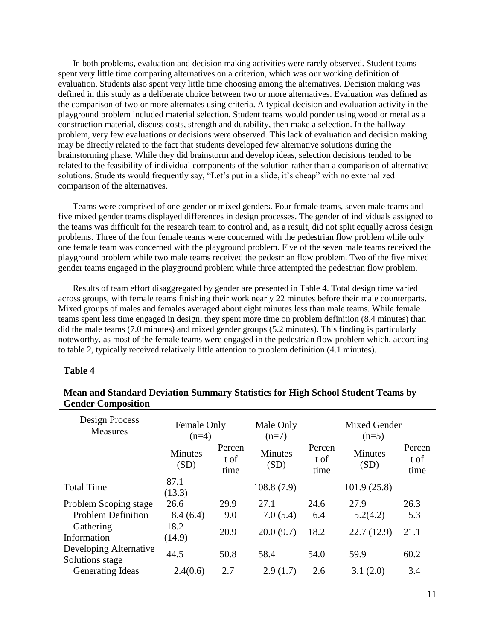In both problems, evaluation and decision making activities were rarely observed. Student teams spent very little time comparing alternatives on a criterion, which was our working definition of evaluation. Students also spent very little time choosing among the alternatives. Decision making was defined in this study as a deliberate choice between two or more alternatives. Evaluation was defined as the comparison of two or more alternates using criteria. A typical decision and evaluation activity in the playground problem included material selection. Student teams would ponder using wood or metal as a construction material, discuss costs, strength and durability, then make a selection. In the hallway problem, very few evaluations or decisions were observed. This lack of evaluation and decision making may be directly related to the fact that students developed few alternative solutions during the brainstorming phase. While they did brainstorm and develop ideas, selection decisions tended to be related to the feasibility of individual components of the solution rather than a comparison of alternative solutions. Students would frequently say, "Let's put in a slide, it's cheap" with no externalized comparison of the alternatives.

Teams were comprised of one gender or mixed genders. Four female teams, seven male teams and five mixed gender teams displayed differences in design processes. The gender of individuals assigned to the teams was difficult for the research team to control and, as a result, did not split equally across design problems. Three of the four female teams were concerned with the pedestrian flow problem while only one female team was concerned with the playground problem. Five of the seven male teams received the playground problem while two male teams received the pedestrian flow problem. Two of the five mixed gender teams engaged in the playground problem while three attempted the pedestrian flow problem.

Results of team effort disaggregated by gender are presented in Table 4. Total design time varied across groups, with female teams finishing their work nearly 22 minutes before their male counterparts. Mixed groups of males and females averaged about eight minutes less than male teams. While female teams spent less time engaged in design, they spent more time on problem definition (8.4 minutes) than did the male teams (7.0 minutes) and mixed gender groups (5.2 minutes). This finding is particularly noteworthy, as most of the female teams were engaged in the pedestrian flow problem which, according to table 2, typically received relatively little attention to problem definition (4.1 minutes).

## **Table 4**

| Design Process<br>Measures                | Female Only<br>$(n=4)$ |                        | Male Only<br>$(n=7)$   | Mixed Gender<br>$(n=5)$ |                        |                        |
|-------------------------------------------|------------------------|------------------------|------------------------|-------------------------|------------------------|------------------------|
|                                           | <b>Minutes</b><br>(SD) | Percen<br>t of<br>time | <b>Minutes</b><br>(SD) | Percen<br>t of<br>time  | <b>Minutes</b><br>(SD) | Percen<br>t of<br>time |
| <b>Total Time</b>                         | 87.1<br>(13.3)         |                        | 108.8(7.9)             |                         | 101.9(25.8)            |                        |
| Problem Scoping stage                     | 26.6                   | 29.9                   | 27.1                   | 24.6                    | 27.9                   | 26.3                   |
| <b>Problem Definition</b>                 | 8.4(6.4)               | 9.0                    | 7.0(5.4)               | 6.4                     | 5.2(4.2)               | 5.3                    |
| Gathering<br>Information                  | 18.2<br>(14.9)         | 20.9                   | 20.0(9.7)              | 18.2                    | 22.7(12.9)             | 21.1                   |
| Developing Alternative<br>Solutions stage | 44.5                   | 50.8                   | 58.4                   | 54.0                    | 59.9                   | 60.2                   |
| <b>Generating Ideas</b>                   | 2.4(0.6)               | 2.7                    | 2.9(1.7)               | 2.6                     | 3.1(2.0)               | 3.4                    |

# **Mean and Standard Deviation Summary Statistics for High School Student Teams by Gender Composition**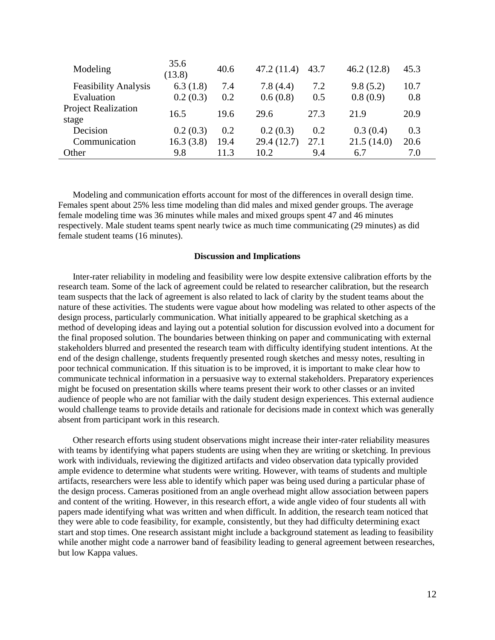| Modeling                            | 35.6<br>(13.8) | 40.6 | 47.2 (11.4) | 43.7 | 46.2(12.8) | 45.3 |
|-------------------------------------|----------------|------|-------------|------|------------|------|
| <b>Feasibility Analysis</b>         | 6.3(1.8)       | 7.4  | 7.8(4.4)    | 7.2  | 9.8(5.2)   | 10.7 |
| Evaluation                          | 0.2(0.3)       | 0.2  | 0.6(0.8)    | 0.5  | 0.8(0.9)   | 0.8  |
| <b>Project Realization</b><br>stage | 16.5           | 19.6 | 29.6        | 27.3 | 21.9       | 20.9 |
| Decision                            | 0.2(0.3)       | 0.2  | 0.2(0.3)    | 0.2  | 0.3(0.4)   | 0.3  |
| Communication                       | 16.3(3.8)      | 19.4 | 29.4 (12.7) | 27.1 | 21.5(14.0) | 20.6 |
| Other                               | 9.8            | 11.3 | 10.2        | 9.4  | 6.7        | 7.0  |

Modeling and communication efforts account for most of the differences in overall design time. Females spent about 25% less time modeling than did males and mixed gender groups. The average female modeling time was 36 minutes while males and mixed groups spent 47 and 46 minutes respectively. Male student teams spent nearly twice as much time communicating (29 minutes) as did female student teams (16 minutes).

#### **Discussion and Implications**

Inter-rater reliability in modeling and feasibility were low despite extensive calibration efforts by the research team. Some of the lack of agreement could be related to researcher calibration, but the research team suspects that the lack of agreement is also related to lack of clarity by the student teams about the nature of these activities. The students were vague about how modeling was related to other aspects of the design process, particularly communication. What initially appeared to be graphical sketching as a method of developing ideas and laying out a potential solution for discussion evolved into a document for the final proposed solution. The boundaries between thinking on paper and communicating with external stakeholders blurred and presented the research team with difficulty identifying student intentions. At the end of the design challenge, students frequently presented rough sketches and messy notes, resulting in poor technical communication. If this situation is to be improved, it is important to make clear how to communicate technical information in a persuasive way to external stakeholders. Preparatory experiences might be focused on presentation skills where teams present their work to other classes or an invited audience of people who are not familiar with the daily student design experiences. This external audience would challenge teams to provide details and rationale for decisions made in context which was generally absent from participant work in this research.

Other research efforts using student observations might increase their inter-rater reliability measures with teams by identifying what papers students are using when they are writing or sketching. In previous work with individuals, reviewing the digitized artifacts and video observation data typically provided ample evidence to determine what students were writing. However, with teams of students and multiple artifacts, researchers were less able to identify which paper was being used during a particular phase of the design process. Cameras positioned from an angle overhead might allow association between papers and content of the writing. However, in this research effort, a wide angle video of four students all with papers made identifying what was written and when difficult. In addition, the research team noticed that they were able to code feasibility, for example, consistently, but they had difficulty determining exact start and stop times. One research assistant might include a background statement as leading to feasibility while another might code a narrower band of feasibility leading to general agreement between researches, but low Kappa values.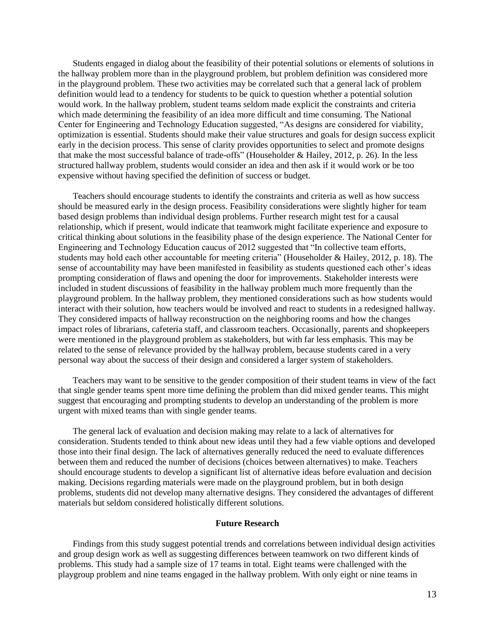Students engaged in dialog about the feasibility of their potential solutions or elements of solutions in the hallway problem more than in the playground problem, but problem definition was considered more in the playground problem. These two activities may be correlated such that a general lack of problem definition would lead to a tendency for students to be quick to question whether a potential solution would work. In the hallway problem, student teams seldom made explicit the constraints and criteria which made determining the feasibility of an idea more difficult and time consuming. The National Center for Engineering and Technology Education suggested, "As designs are considered for viability, optimization is essential. Students should make their value structures and goals for design success explicit early in the decision process. This sense of clarity provides opportunities to select and promote designs that make the most successful balance of trade-offs" (Householder & Hailey, 2012, p. 26). In the less structured hallway problem, students would consider an idea and then ask if it would work or be too expensive without having specified the definition of success or budget.

Teachers should encourage students to identify the constraints and criteria as well as how success should be measured early in the design process. Feasibility considerations were slightly higher for team based design problems than individual design problems. Further research might test for a causal relationship, which if present, would indicate that teamwork might facilitate experience and exposure to critical thinking about solutions in the feasibility phase of the design experience. The National Center for Engineering and Technology Education caucus of 2012 suggested that "In collective team efforts, students may hold each other accountable for meeting criteria" (Householder & Hailey, 2012, p. 18). The sense of accountability may have been manifested in feasibility as students questioned each other's ideas prompting consideration of flaws and opening the door for improvements. Stakeholder interests were included in student discussions of feasibility in the hallway problem much more frequently than the playground problem. In the hallway problem, they mentioned considerations such as how students would interact with their solution, how teachers would be involved and react to students in a redesigned hallway. They considered impacts of hallway reconstruction on the neighboring rooms and how the changes impact roles of librarians, cafeteria staff, and classroom teachers. Occasionally, parents and shopkeepers were mentioned in the playground problem as stakeholders, but with far less emphasis. This may be related to the sense of relevance provided by the hallway problem, because students cared in a very personal way about the success of their design and considered a larger system of stakeholders.

Teachers may want to be sensitive to the gender composition of their student teams in view of the fact that single gender teams spent more time defining the problem than did mixed gender teams. This might suggest that encouraging and prompting students to develop an understanding of the problem is more urgent with mixed teams than with single gender teams.

The general lack of evaluation and decision making may relate to a lack of alternatives for consideration. Students tended to think about new ideas until they had a few viable options and developed those into their final design. The lack of alternatives generally reduced the need to evaluate differences between them and reduced the number of decisions (choices between alternatives) to make. Teachers should encourage students to develop a significant list of alternative ideas before evaluation and decision making. Decisions regarding materials were made on the playground problem, but in both design problems, students did not develop many alternative designs. They considered the advantages of different materials but seldom considered holistically different solutions.

#### **Future Research**

Findings from this study suggest potential trends and correlations between individual design activities and group design work as well as suggesting differences between teamwork on two different kinds of problems. This study had a sample size of 17 teams in total. Eight teams were challenged with the playgroup problem and nine teams engaged in the hallway problem. With only eight or nine teams in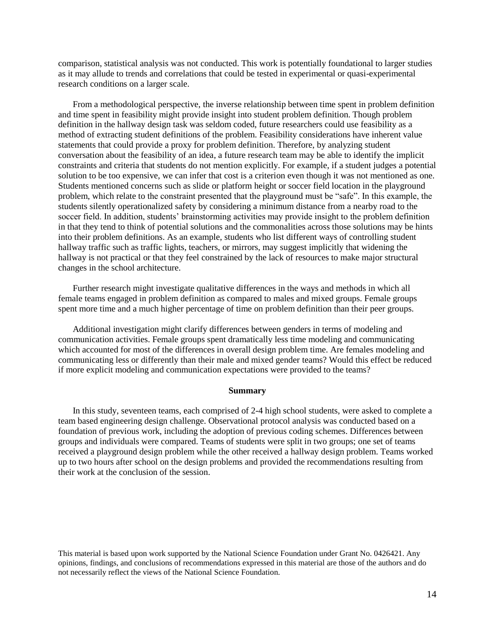comparison, statistical analysis was not conducted. This work is potentially foundational to larger studies as it may allude to trends and correlations that could be tested in experimental or quasi-experimental research conditions on a larger scale.

From a methodological perspective, the inverse relationship between time spent in problem definition and time spent in feasibility might provide insight into student problem definition. Though problem definition in the hallway design task was seldom coded, future researchers could use feasibility as a method of extracting student definitions of the problem. Feasibility considerations have inherent value statements that could provide a proxy for problem definition. Therefore, by analyzing student conversation about the feasibility of an idea, a future research team may be able to identify the implicit constraints and criteria that students do not mention explicitly. For example, if a student judges a potential solution to be too expensive, we can infer that cost is a criterion even though it was not mentioned as one. Students mentioned concerns such as slide or platform height or soccer field location in the playground problem, which relate to the constraint presented that the playground must be "safe". In this example, the students silently operationalized safety by considering a minimum distance from a nearby road to the soccer field. In addition, students' brainstorming activities may provide insight to the problem definition in that they tend to think of potential solutions and the commonalities across those solutions may be hints into their problem definitions. As an example, students who list different ways of controlling student hallway traffic such as traffic lights, teachers, or mirrors, may suggest implicitly that widening the hallway is not practical or that they feel constrained by the lack of resources to make major structural changes in the school architecture.

Further research might investigate qualitative differences in the ways and methods in which all female teams engaged in problem definition as compared to males and mixed groups. Female groups spent more time and a much higher percentage of time on problem definition than their peer groups.

Additional investigation might clarify differences between genders in terms of modeling and communication activities. Female groups spent dramatically less time modeling and communicating which accounted for most of the differences in overall design problem time. Are females modeling and communicating less or differently than their male and mixed gender teams? Would this effect be reduced if more explicit modeling and communication expectations were provided to the teams?

#### **Summary**

In this study, seventeen teams, each comprised of 2-4 high school students, were asked to complete a team based engineering design challenge. Observational protocol analysis was conducted based on a foundation of previous work, including the adoption of previous coding schemes. Differences between groups and individuals were compared. Teams of students were split in two groups; one set of teams received a playground design problem while the other received a hallway design problem. Teams worked up to two hours after school on the design problems and provided the recommendations resulting from their work at the conclusion of the session.

This material is based upon work supported by the National Science Foundation under Grant No. 0426421. Any opinions, findings, and conclusions of recommendations expressed in this material are those of the authors and do not necessarily reflect the views of the National Science Foundation.